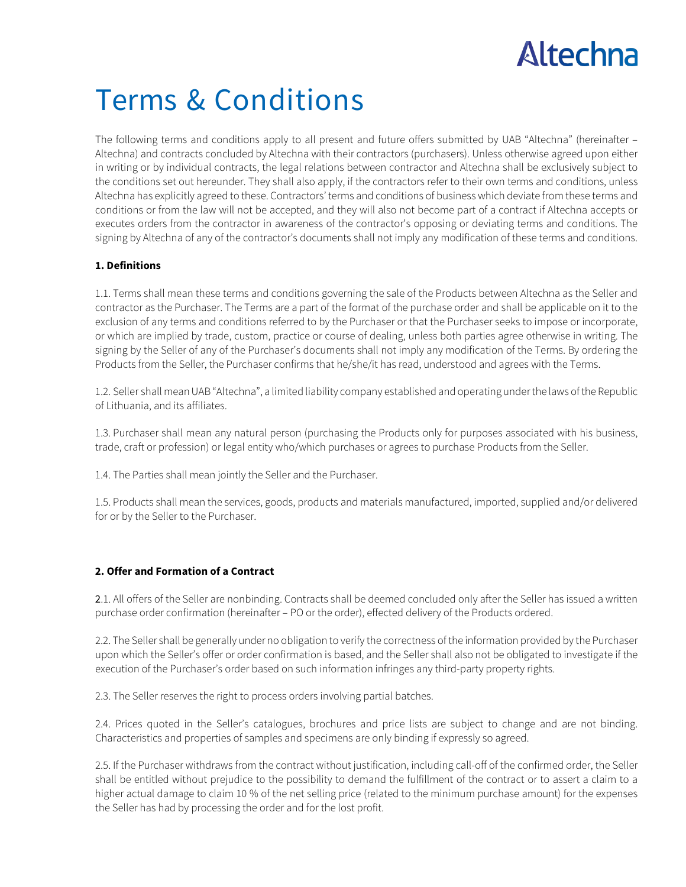# Altechna

## Terms & Conditions

The following terms and conditions apply to all present and future offers submitted by UAB "Altechna" (hereinafter – Altechna) and contracts concluded by Altechna with their contractors (purchasers). Unless otherwise agreed upon either in writing or by individual contracts, the legal relations between contractor and Altechna shall be exclusively subject to the conditions set out hereunder. They shall also apply, if the contractors refer to their own terms and conditions, unless Altechna has explicitly agreed to these. Contractors' terms and conditions of business which deviate from these terms and conditions or from the law will not be accepted, and they will also not become part of a contract if Altechna accepts or executes orders from the contractor in awareness of the contractor's opposing or deviating terms and conditions. The signing by Altechna of any of the contractor's documents shall not imply any modification of these terms and conditions.

#### **1. Definitions**

1.1. Terms shall mean these terms and conditions governing the sale of the Products between Altechna as the Seller and contractor as the Purchaser. The Terms are a part of the format of the purchase order and shall be applicable on it to the exclusion of any terms and conditions referred to by the Purchaser or that the Purchaser seeks to impose or incorporate, or which are implied by trade, custom, practice or course of dealing, unless both parties agree otherwise in writing. The signing by the Seller of any of the Purchaser's documents shall not imply any modification of the Terms. By ordering the Products from the Seller, the Purchaser confirms that he/she/it has read, understood and agrees with the Terms.

1.2. Seller shall mean UAB "Altechna", a limited liability company established and operating under the laws of the Republic of Lithuania, and its affiliates.

1.3. Purchaser shall mean any natural person (purchasing the Products only for purposes associated with his business, trade, craft or profession) or legal entity who/which purchases or agrees to purchase Products from the Seller.

1.4. The Parties shall mean jointly the Seller and the Purchaser.

1.5. Products shall mean the services, goods, products and materials manufactured, imported, supplied and/or delivered for or by the Seller to the Purchaser.

#### **2. Offer and Formation of a Contract**

2.1. All offers of the Seller are nonbinding. Contracts shall be deemed concluded only after the Seller has issued a written purchase order confirmation (hereinafter – PO or the order), effected delivery of the Products ordered.

2.2. The Seller shall be generally under no obligation to verify the correctness of the information provided by the Purchaser upon which the Seller's offer or order confirmation is based, and the Seller shall also not be obligated to investigate if the execution of the Purchaser's order based on such information infringes any third-party property rights.

2.3. The Seller reserves the right to process orders involving partial batches.

2.4. Prices quoted in the Seller's catalogues, brochures and price lists are subject to change and are not binding. Characteristics and properties of samples and specimens are only binding if expressly so agreed.

2.5. If the Purchaser withdraws from the contract without justification, including call-off of the confirmed order, the Seller shall be entitled without prejudice to the possibility to demand the fulfillment of the contract or to assert a claim to a higher actual damage to claim 10 % of the net selling price (related to the minimum purchase amount) for the expenses the Seller has had by processing the order and for the lost profit.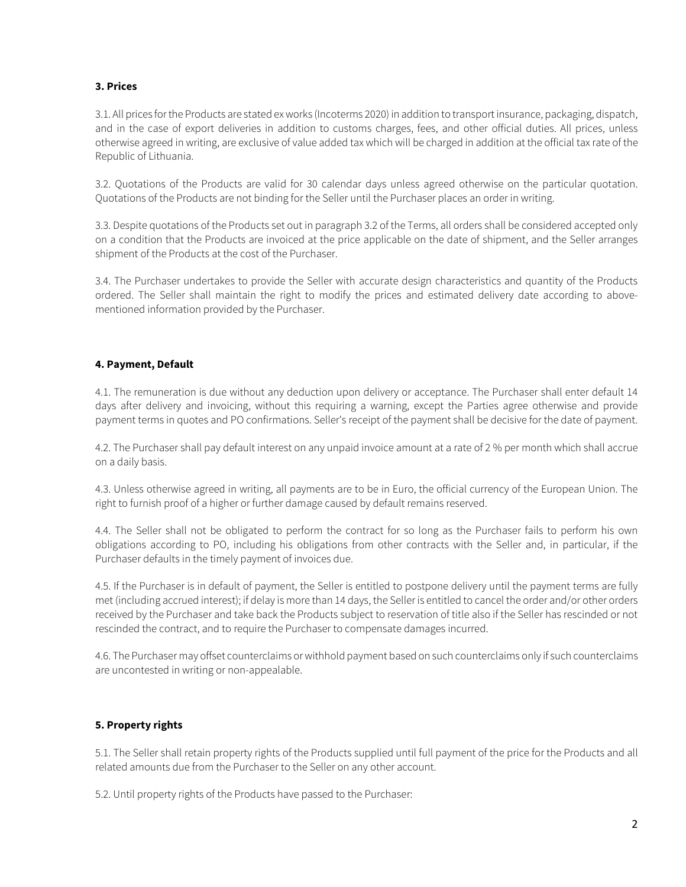#### **3. Prices**

3.1. All prices for the Products are stated ex works (Incoterms 2020) in addition to transport insurance, packaging, dispatch, and in the case of export deliveries in addition to customs charges, fees, and other official duties. All prices, unless otherwise agreed in writing, are exclusive of value added tax which will be charged in addition at the official tax rate of the Republic of Lithuania.

3.2. Quotations of the Products are valid for 30 calendar days unless agreed otherwise on the particular quotation. Quotations of the Products are not binding for the Seller until the Purchaser places an order in writing.

3.3. Despite quotations of the Products set out in paragraph 3.2 of the Terms, all orders shall be considered accepted only on a condition that the Products are invoiced at the price applicable on the date of shipment, and the Seller arranges shipment of the Products at the cost of the Purchaser.

3.4. The Purchaser undertakes to provide the Seller with accurate design characteristics and quantity of the Products ordered. The Seller shall maintain the right to modify the prices and estimated delivery date according to abovementioned information provided by the Purchaser.

#### **4. Payment, Default**

4.1. The remuneration is due without any deduction upon delivery or acceptance. The Purchaser shall enter default 14 days after delivery and invoicing, without this requiring a warning, except the Parties agree otherwise and provide payment terms in quotes and PO confirmations. Seller's receipt of the payment shall be decisive for the date of payment.

4.2. The Purchaser shall pay default interest on any unpaid invoice amount at a rate of 2 % per month which shall accrue on a daily basis.

4.3. Unless otherwise agreed in writing, all payments are to be in Euro, the official currency of the European Union. The right to furnish proof of a higher or further damage caused by default remains reserved.

4.4. The Seller shall not be obligated to perform the contract for so long as the Purchaser fails to perform his own obligations according to PO, including his obligations from other contracts with the Seller and, in particular, if the Purchaser defaults in the timely payment of invoices due.

4.5. If the Purchaser is in default of payment, the Seller is entitled to postpone delivery until the payment terms are fully met (including accrued interest); if delay is more than 14 days, the Seller is entitled to cancel the order and/or other orders received by the Purchaser and take back the Products subject to reservation of title also if the Seller has rescinded or not rescinded the contract, and to require the Purchaser to compensate damages incurred.

4.6. The Purchaser may offset counterclaims or withhold payment based on such counterclaims only if such counterclaims are uncontested in writing or non-appealable.

#### **5. Property rights**

5.1. The Seller shall retain property rights of the Products supplied until full payment of the price for the Products and all related amounts due from the Purchaser to the Seller on any other account.

5.2. Until property rights of the Products have passed to the Purchaser: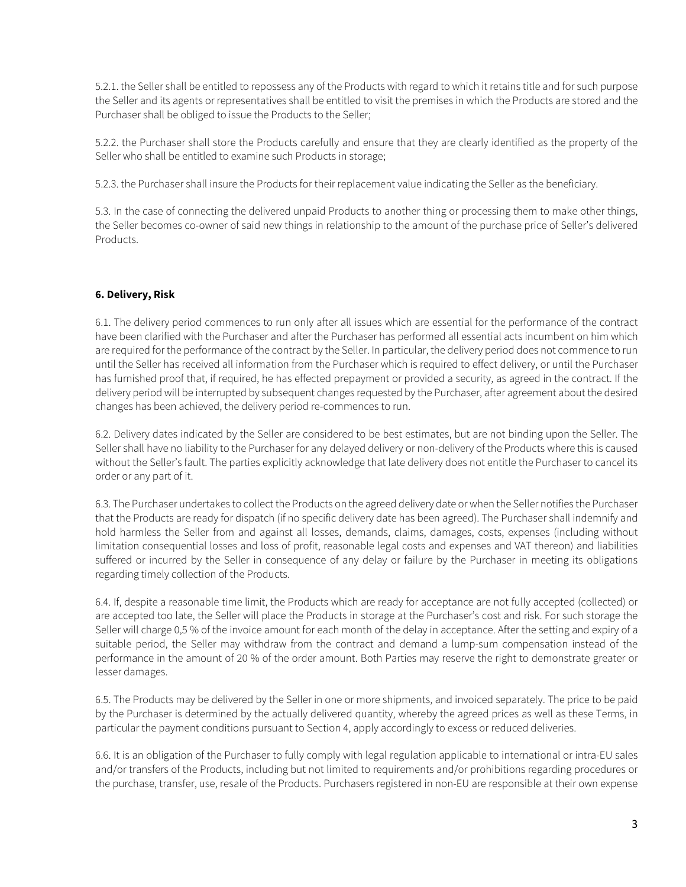5.2.1. the Seller shall be entitled to repossess any of the Products with regard to which it retains title and for such purpose the Seller and its agents or representatives shall be entitled to visit the premises in which the Products are stored and the Purchaser shall be obliged to issue the Products to the Seller;

5.2.2. the Purchaser shall store the Products carefully and ensure that they are clearly identified as the property of the Seller who shall be entitled to examine such Products in storage;

5.2.3. the Purchaser shall insure the Products for their replacement value indicating the Seller as the beneficiary.

5.3. In the case of connecting the delivered unpaid Products to another thing or processing them to make other things, the Seller becomes co-owner of said new things in relationship to the amount of the purchase price of Seller's delivered Products.

#### **6. Delivery, Risk**

6.1. The delivery period commences to run only after all issues which are essential for the performance of the contract have been clarified with the Purchaser and after the Purchaser has performed all essential acts incumbent on him which are required for the performance of the contract by the Seller. In particular, the delivery period does not commence to run until the Seller has received all information from the Purchaser which is required to effect delivery, or until the Purchaser has furnished proof that, if required, he has effected prepayment or provided a security, as agreed in the contract. If the delivery period will be interrupted by subsequent changes requested by the Purchaser, after agreement about the desired changes has been achieved, the delivery period re-commences to run.

6.2. Delivery dates indicated by the Seller are considered to be best estimates, but are not binding upon the Seller. The Seller shall have no liability to the Purchaser for any delayed delivery or non-delivery of the Products where this is caused without the Seller's fault. The parties explicitly acknowledge that late delivery does not entitle the Purchaser to cancel its order or any part of it.

6.3. The Purchaser undertakes to collect the Products on the agreed delivery date or when the Seller notifies the Purchaser that the Products are ready for dispatch (if no specific delivery date has been agreed). The Purchaser shall indemnify and hold harmless the Seller from and against all losses, demands, claims, damages, costs, expenses (including without limitation consequential losses and loss of profit, reasonable legal costs and expenses and VAT thereon) and liabilities suffered or incurred by the Seller in consequence of any delay or failure by the Purchaser in meeting its obligations regarding timely collection of the Products.

6.4. If, despite a reasonable time limit, the Products which are ready for acceptance are not fully accepted (collected) or are accepted too late, the Seller will place the Products in storage at the Purchaser's cost and risk. For such storage the Seller will charge 0,5 % of the invoice amount for each month of the delay in acceptance. After the setting and expiry of a suitable period, the Seller may withdraw from the contract and demand a lump-sum compensation instead of the performance in the amount of 20 % of the order amount. Both Parties may reserve the right to demonstrate greater or lesser damages.

6.5. The Products may be delivered by the Seller in one or more shipments, and invoiced separately. The price to be paid by the Purchaser is determined by the actually delivered quantity, whereby the agreed prices as well as these Terms, in particular the payment conditions pursuant to Section 4, apply accordingly to excess or reduced deliveries.

6.6. It is an obligation of the Purchaser to fully comply with legal regulation applicable to international or intra-EU sales and/or transfers of the Products, including but not limited to requirements and/or prohibitions regarding procedures or the purchase, transfer, use, resale of the Products. Purchasers registered in non-EU are responsible at their own expense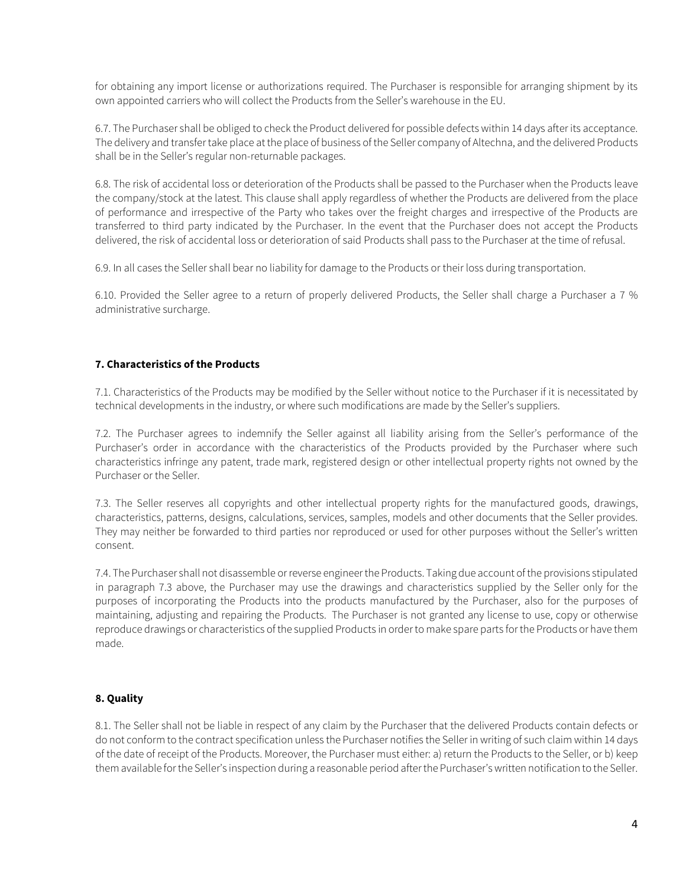for obtaining any import license or authorizations required. The Purchaser is responsible for arranging shipment by its own appointed carriers who will collect the Products from the Seller's warehouse in the EU.

6.7. The Purchaser shall be obliged to check the Product delivered for possible defects within 14 days after its acceptance. The delivery and transfer take place at the place of business of the Seller company of Altechna, and the delivered Products shall be in the Seller's regular non-returnable packages.

6.8. The risk of accidental loss or deterioration of the Products shall be passed to the Purchaser when the Products leave the company/stock at the latest. This clause shall apply regardless of whether the Products are delivered from the place of performance and irrespective of the Party who takes over the freight charges and irrespective of the Products are transferred to third party indicated by the Purchaser. In the event that the Purchaser does not accept the Products delivered, the risk of accidental loss or deterioration of said Products shall pass to the Purchaser at the time of refusal.

6.9. In all cases the Seller shall bear no liability for damage to the Products or their loss during transportation.

6.10. Provided the Seller agree to a return of properly delivered Products, the Seller shall charge a Purchaser a 7 % administrative surcharge.

#### **7. Characteristics of the Products**

7.1. Characteristics of the Products may be modified by the Seller without notice to the Purchaser if it is necessitated by technical developments in the industry, or where such modifications are made by the Seller's suppliers.

7.2. The Purchaser agrees to indemnify the Seller against all liability arising from the Seller's performance of the Purchaser's order in accordance with the characteristics of the Products provided by the Purchaser where such characteristics infringe any patent, trade mark, registered design or other intellectual property rights not owned by the Purchaser or the Seller.

7.3. The Seller reserves all copyrights and other intellectual property rights for the manufactured goods, drawings, characteristics, patterns, designs, calculations, services, samples, models and other documents that the Seller provides. They may neither be forwarded to third parties nor reproduced or used for other purposes without the Seller's written consent.

7.4. The Purchaser shall not disassemble or reverse engineerthe Products. Taking due account of the provisions stipulated in paragraph 7.3 above, the Purchaser may use the drawings and characteristics supplied by the Seller only for the purposes of incorporating the Products into the products manufactured by the Purchaser, also for the purposes of maintaining, adjusting and repairing the Products. The Purchaser is not granted any license to use, copy or otherwise reproduce drawings or characteristics of the supplied Products in order to make spare parts for the Products or have them made.

### **8. Quality**

8.1. The Seller shall not be liable in respect of any claim by the Purchaser that the delivered Products contain defects or do not conform to the contract specification unless the Purchaser notifies the Seller in writing of such claim within 14 days of the date of receipt of the Products. Moreover, the Purchaser must either: a) return the Products to the Seller, or b) keep them available for the Seller's inspection during a reasonable period after the Purchaser's written notification to the Seller.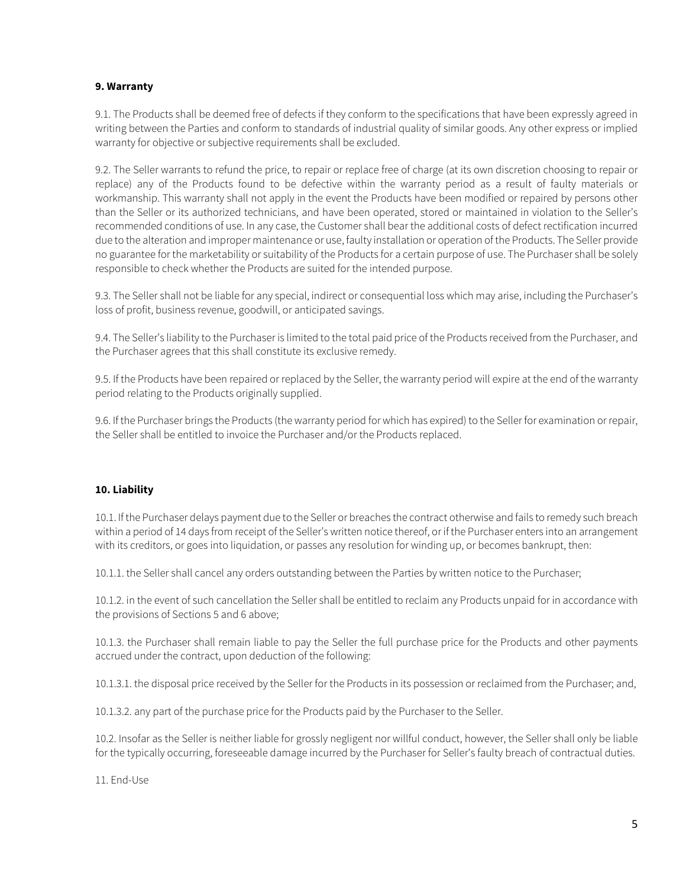#### **9. Warranty**

9.1. The Products shall be deemed free of defects if they conform to the specifications that have been expressly agreed in writing between the Parties and conform to standards of industrial quality of similar goods. Any other express or implied warranty for objective or subjective requirements shall be excluded.

9.2. The Seller warrants to refund the price, to repair or replace free of charge (at its own discretion choosing to repair or replace) any of the Products found to be defective within the warranty period as a result of faulty materials or workmanship. This warranty shall not apply in the event the Products have been modified or repaired by persons other than the Seller or its authorized technicians, and have been operated, stored or maintained in violation to the Seller's recommended conditions of use. In any case, the Customer shall bear the additional costs of defect rectification incurred due to the alteration and improper maintenance or use, faulty installation or operation of the Products. The Seller provide no guarantee for the marketability or suitability of the Products for a certain purpose of use. The Purchaser shall be solely responsible to check whether the Products are suited for the intended purpose.

9.3. The Seller shall not be liable for any special, indirect or consequential loss which may arise, including the Purchaser's loss of profit, business revenue, goodwill, or anticipated savings.

9.4. The Seller's liability to the Purchaser is limited to the total paid price of the Products received from the Purchaser, and the Purchaser agrees that this shall constitute its exclusive remedy.

9.5. If the Products have been repaired or replaced by the Seller, the warranty period will expire at the end of the warranty period relating to the Products originally supplied.

9.6. If the Purchaser brings the Products (the warranty period for which has expired) to the Seller for examination or repair, the Seller shall be entitled to invoice the Purchaser and/or the Products replaced.

#### **10. Liability**

10.1. If the Purchaser delays payment due to the Seller or breaches the contract otherwise and fails to remedy such breach within a period of 14 days from receipt of the Seller's written notice thereof, or if the Purchaser enters into an arrangement with its creditors, or goes into liquidation, or passes any resolution for winding up, or becomes bankrupt, then:

10.1.1. the Seller shall cancel any orders outstanding between the Parties by written notice to the Purchaser;

10.1.2. in the event of such cancellation the Seller shall be entitled to reclaim any Products unpaid for in accordance with the provisions of Sections 5 and 6 above;

10.1.3. the Purchaser shall remain liable to pay the Seller the full purchase price for the Products and other payments accrued under the contract, upon deduction of the following:

10.1.3.1. the disposal price received by the Seller for the Products in its possession or reclaimed from the Purchaser; and,

10.1.3.2. any part of the purchase price for the Products paid by the Purchaser to the Seller.

10.2. Insofar as the Seller is neither liable for grossly negligent nor willful conduct, however, the Seller shall only be liable for the typically occurring, foreseeable damage incurred by the Purchaser for Seller's faulty breach of contractual duties.

11. End-Use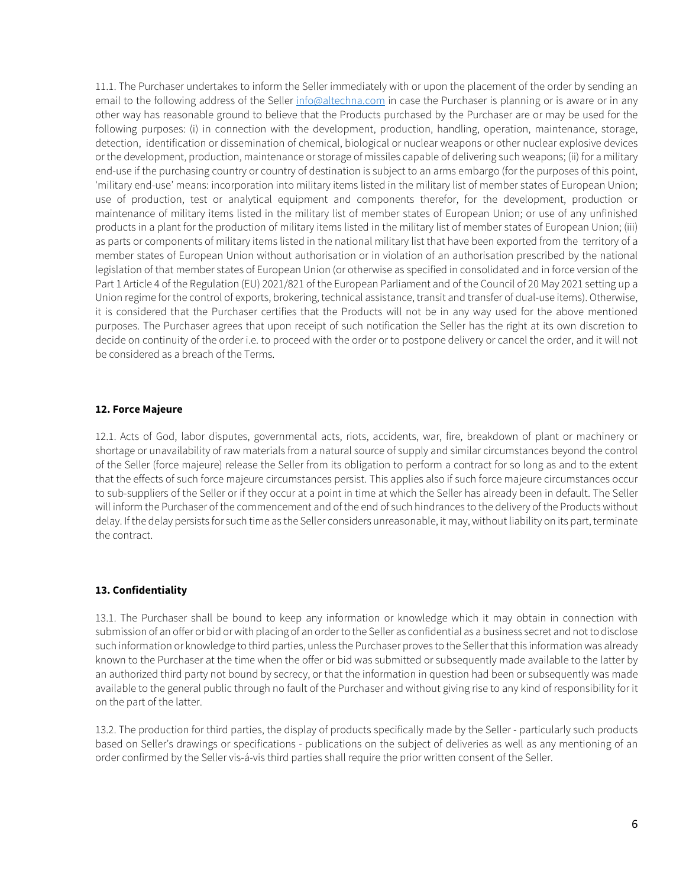11.1. The Purchaser undertakes to inform the Seller immediately with or upon the placement of the order by sending an email to the following address of the Seller [info@altechna.com](mailto:info@altechna.com) in case the Purchaser is planning or is aware or in any other way has reasonable ground to believe that the Products purchased by the Purchaser are or may be used for the following purposes: (i) in connection with the development, production, handling, operation, maintenance, storage, detection, identification or dissemination of chemical, biological or nuclear weapons or other nuclear explosive devices or the development, production, maintenance or storage of missiles capable of delivering such weapons; (ii) for a military end-use if the purchasing country or country of destination is subject to an arms embargo (for the purposes of this point, 'military end-use' means: incorporation into military items listed in the military list of member states of European Union; use of production, test or analytical equipment and components therefor, for the development, production or maintenance of military items listed in the military list of member states of European Union; or use of any unfinished products in a plant for the production of military items listed in the military list of member states of European Union; (iii) as parts or components of military items listed in the national military list that have been exported from the territory of a member states of European Union without authorisation or in violation of an authorisation prescribed by the national legislation of that member states of European Union (or otherwise as specified in consolidated and in force version of the Part 1 Article 4 of the Regulation (EU) 2021/821 of the European Parliament and of the Council of 20 May 2021 setting up a Union regime for the control of exports, brokering, technical assistance, transit and transfer of dual-use items). Otherwise, it is considered that the Purchaser certifies that the Products will not be in any way used for the above mentioned purposes. The Purchaser agrees that upon receipt of such notification the Seller has the right at its own discretion to decide on continuity of the order i.e. to proceed with the order or to postpone delivery or cancel the order, and it will not be considered as a breach of the Terms.

#### **12. Force Majeure**

12.1. Acts of God, labor disputes, governmental acts, riots, accidents, war, fire, breakdown of plant or machinery or shortage or unavailability of raw materials from a natural source of supply and similar circumstances beyond the control of the Seller (force majeure) release the Seller from its obligation to perform a contract for so long as and to the extent that the effects of such force majeure circumstances persist. This applies also if such force majeure circumstances occur to sub-suppliers of the Seller or if they occur at a point in time at which the Seller has already been in default. The Seller will inform the Purchaser of the commencement and of the end of such hindrances to the delivery of the Products without delay. If the delay persists for such time as the Seller considers unreasonable, it may, without liability on its part, terminate the contract.

#### **13. Confidentiality**

13.1. The Purchaser shall be bound to keep any information or knowledge which it may obtain in connection with submission of an offer or bid or with placing of an order to the Seller as confidential as a business secret and not to disclose such information or knowledge to third parties, unless the Purchaser proves to the Seller that this information was already known to the Purchaser at the time when the offer or bid was submitted or subsequently made available to the latter by an authorized third party not bound by secrecy, or that the information in question had been or subsequently was made available to the general public through no fault of the Purchaser and without giving rise to any kind of responsibility for it on the part of the latter.

13.2. The production for third parties, the display of products specifically made by the Seller - particularly such products based on Seller's drawings or specifications - publications on the subject of deliveries as well as any mentioning of an order confirmed by the Seller vis-á-vis third parties shall require the prior written consent of the Seller.